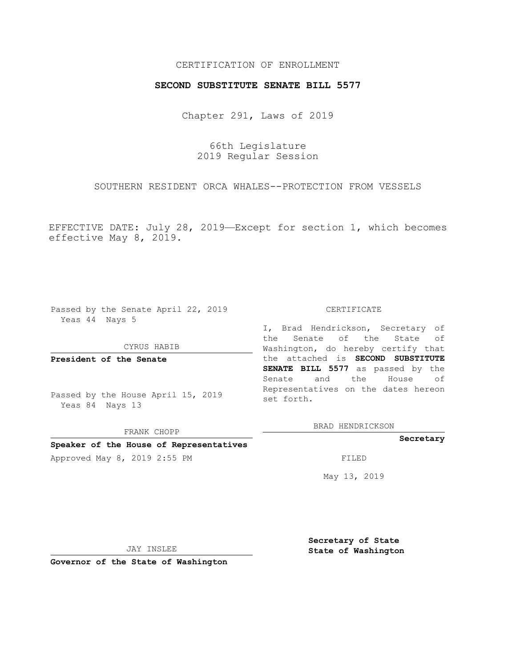## CERTIFICATION OF ENROLLMENT

## **SECOND SUBSTITUTE SENATE BILL 5577**

Chapter 291, Laws of 2019

66th Legislature 2019 Regular Session

SOUTHERN RESIDENT ORCA WHALES--PROTECTION FROM VESSELS

EFFECTIVE DATE: July 28, 2019—Except for section 1, which becomes effective May 8, 2019.

Passed by the Senate April 22, 2019 Yeas 44 Nays 5

#### CYRUS HABIB

FRANK CHOPP **Speaker of the House of Representatives**

**President of the Senate**

Passed by the House April 15, 2019 Yeas 84 Nays 13

CERTIFICATE

I, Brad Hendrickson, Secretary of the Senate of the State of Washington, do hereby certify that the attached is **SECOND SUBSTITUTE SENATE BILL 5577** as passed by the Senate and the House of Representatives on the dates hereon set forth.

BRAD HENDRICKSON

**Secretary**

Approved May 8, 2019 2:55 PM

May 13, 2019

JAY INSLEE

**Governor of the State of Washington**

**Secretary of State State of Washington**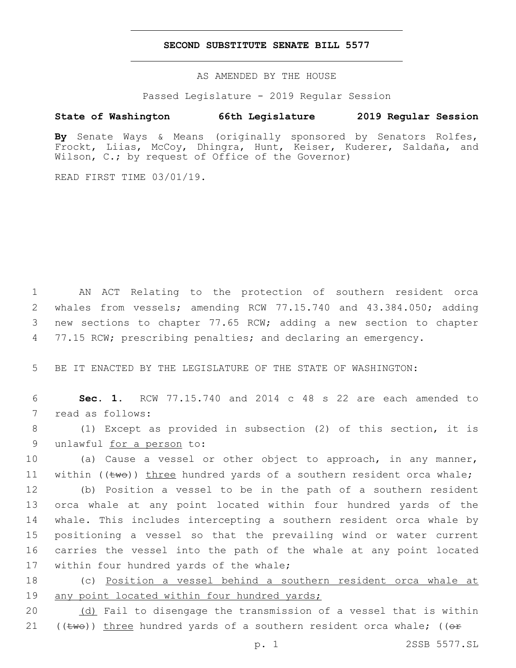## **SECOND SUBSTITUTE SENATE BILL 5577**

AS AMENDED BY THE HOUSE

Passed Legislature - 2019 Regular Session

# **State of Washington 66th Legislature 2019 Regular Session**

**By** Senate Ways & Means (originally sponsored by Senators Rolfes, Frockt, Liias, McCoy, Dhingra, Hunt, Keiser, Kuderer, Saldaña, and Wilson, C.; by request of Office of the Governor)

READ FIRST TIME 03/01/19.

 AN ACT Relating to the protection of southern resident orca whales from vessels; amending RCW 77.15.740 and 43.384.050; adding new sections to chapter 77.65 RCW; adding a new section to chapter 4 77.15 RCW; prescribing penalties; and declaring an emergency.

5 BE IT ENACTED BY THE LEGISLATURE OF THE STATE OF WASHINGTON:

6 **Sec. 1.** RCW 77.15.740 and 2014 c 48 s 22 are each amended to 7 read as follows:

8 (1) Except as provided in subsection (2) of this section, it is 9 unlawful for a person to:

10 (a) Cause a vessel or other object to approach, in any manner, 11 within  $(\text{true})$  three hundred yards of a southern resident orca whale;

 (b) Position a vessel to be in the path of a southern resident orca whale at any point located within four hundred yards of the whale. This includes intercepting a southern resident orca whale by positioning a vessel so that the prevailing wind or water current carries the vessel into the path of the whale at any point located 17 within four hundred yards of the whale;

18 (c) Position a vessel behind a southern resident orca whale at 19 any point located within four hundred yards;

20 (d) Fail to disengage the transmission of a vessel that is within 21 (( $t$ we)) three hundred yards of a southern resident orca whale; (( $\Theta$ *E*)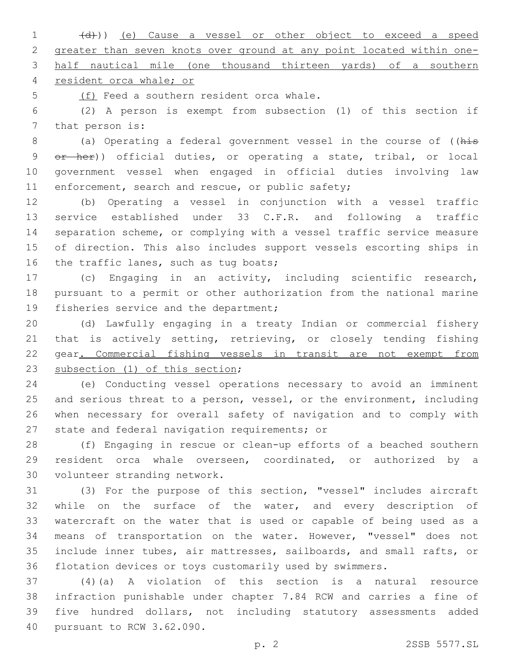1 (d)) (e) Cause a vessel or other object to exceed a speed greater than seven knots over ground at any point located within one-half nautical mile (one thousand thirteen yards) of a southern

resident orca whale; or

5 (f) Feed a southern resident orca whale.

 (2) A person is exempt from subsection (1) of this section if 7 that person is:

8 (a) Operating a federal government vessel in the course of ((his 9 or her)) official duties, or operating a state, tribal, or local government vessel when engaged in official duties involving law 11 enforcement, search and rescue, or public safety;

 (b) Operating a vessel in conjunction with a vessel traffic service established under 33 C.F.R. and following a traffic separation scheme, or complying with a vessel traffic service measure of direction. This also includes support vessels escorting ships in 16 the traffic lanes, such as tug boats;

 (c) Engaging in an activity, including scientific research, pursuant to a permit or other authorization from the national marine 19 fisheries service and the department;

 (d) Lawfully engaging in a treaty Indian or commercial fishery 21 that is actively setting, retrieving, or closely tending fishing gear. Commercial fishing vessels in transit are not exempt from 23 subsection (1) of this section;

 (e) Conducting vessel operations necessary to avoid an imminent and serious threat to a person, vessel, or the environment, including when necessary for overall safety of navigation and to comply with 27 state and federal navigation requirements; or

 (f) Engaging in rescue or clean-up efforts of a beached southern resident orca whale overseen, coordinated, or authorized by a 30 volunteer stranding network.

 (3) For the purpose of this section, "vessel" includes aircraft 32 while on the surface of the water, and every description of watercraft on the water that is used or capable of being used as a means of transportation on the water. However, "vessel" does not include inner tubes, air mattresses, sailboards, and small rafts, or flotation devices or toys customarily used by swimmers.

 (4)(a) A violation of this section is a natural resource infraction punishable under chapter 7.84 RCW and carries a fine of five hundred dollars, not including statutory assessments added 40 pursuant to RCW 3.62.090.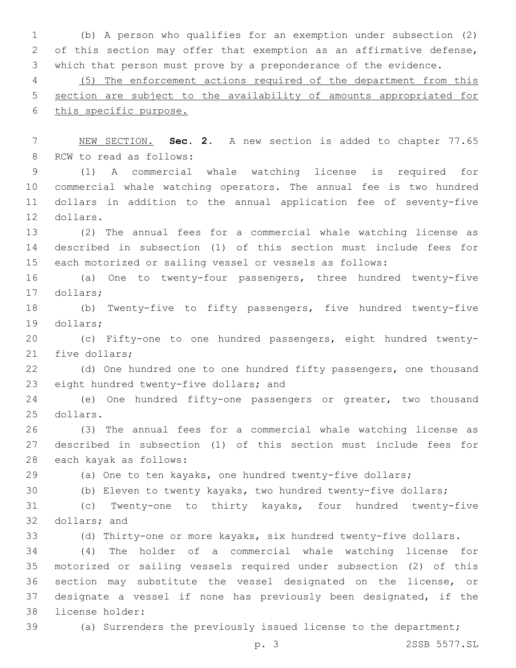(b) A person who qualifies for an exemption under subsection (2) of this section may offer that exemption as an affirmative defense, which that person must prove by a preponderance of the evidence.

 (5) The enforcement actions required of the department from this section are subject to the availability of amounts appropriated for this specific purpose.

 NEW SECTION. **Sec. 2.** A new section is added to chapter 77.65 8 RCW to read as follows:

 (1) A commercial whale watching license is required for commercial whale watching operators. The annual fee is two hundred dollars in addition to the annual application fee of seventy-five 12 dollars.

 (2) The annual fees for a commercial whale watching license as described in subsection (1) of this section must include fees for each motorized or sailing vessel or vessels as follows:

 (a) One to twenty-four passengers, three hundred twenty-five 17 dollars;

 (b) Twenty-five to fifty passengers, five hundred twenty-five 19 dollars;

 (c) Fifty-one to one hundred passengers, eight hundred twenty-21 five dollars;

 (d) One hundred one to one hundred fifty passengers, one thousand 23 eight hundred twenty-five dollars; and

 (e) One hundred fifty-one passengers or greater, two thousand 25 dollars.

 (3) The annual fees for a commercial whale watching license as described in subsection (1) of this section must include fees for 28 each kayak as follows:

(a) One to ten kayaks, one hundred twenty-five dollars;

(b) Eleven to twenty kayaks, two hundred twenty-five dollars;

 (c) Twenty-one to thirty kayaks, four hundred twenty-five 32 dollars; and

(d) Thirty-one or more kayaks, six hundred twenty-five dollars.

 (4) The holder of a commercial whale watching license for motorized or sailing vessels required under subsection (2) of this section may substitute the vessel designated on the license, or designate a vessel if none has previously been designated, if the 38 license holder:

(a) Surrenders the previously issued license to the department;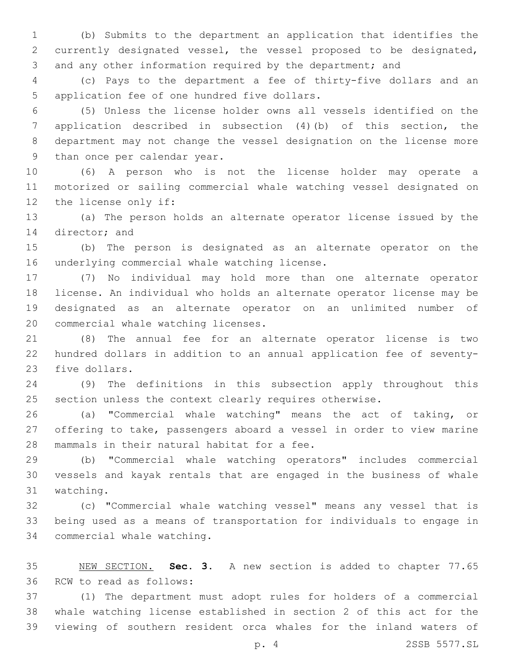(b) Submits to the department an application that identifies the currently designated vessel, the vessel proposed to be designated, and any other information required by the department; and

 (c) Pays to the department a fee of thirty-five dollars and an 5 application fee of one hundred five dollars.

 (5) Unless the license holder owns all vessels identified on the application described in subsection (4)(b) of this section, the department may not change the vessel designation on the license more 9 than once per calendar year.

 (6) A person who is not the license holder may operate a motorized or sailing commercial whale watching vessel designated on 12 the license only if:

 (a) The person holds an alternate operator license issued by the 14 director; and

 (b) The person is designated as an alternate operator on the 16 underlying commercial whale watching license.

 (7) No individual may hold more than one alternate operator license. An individual who holds an alternate operator license may be designated as an alternate operator on an unlimited number of 20 commercial whale watching licenses.

 (8) The annual fee for an alternate operator license is two hundred dollars in addition to an annual application fee of seventy-23 five dollars.

 (9) The definitions in this subsection apply throughout this section unless the context clearly requires otherwise.

 (a) "Commercial whale watching" means the act of taking, or offering to take, passengers aboard a vessel in order to view marine 28 mammals in their natural habitat for a fee.

 (b) "Commercial whale watching operators" includes commercial vessels and kayak rentals that are engaged in the business of whale 31 watching.

 (c) "Commercial whale watching vessel" means any vessel that is being used as a means of transportation for individuals to engage in 34 commercial whale watching.

 NEW SECTION. **Sec. 3.** A new section is added to chapter 77.65 36 RCW to read as follows:

 (1) The department must adopt rules for holders of a commercial whale watching license established in section 2 of this act for the viewing of southern resident orca whales for the inland waters of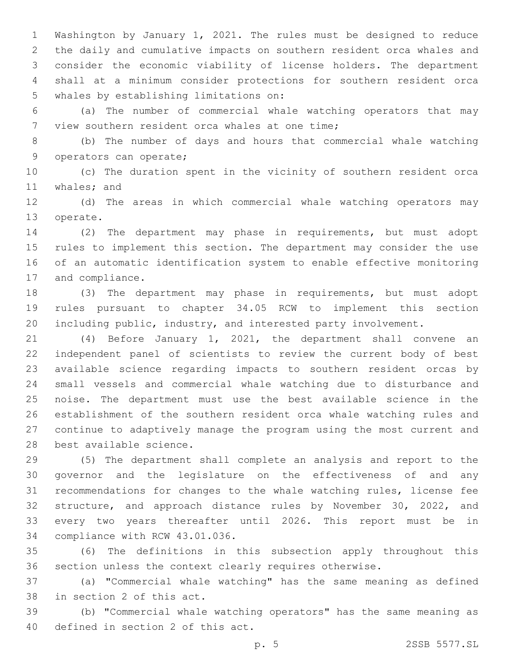Washington by January 1, 2021. The rules must be designed to reduce the daily and cumulative impacts on southern resident orca whales and consider the economic viability of license holders. The department shall at a minimum consider protections for southern resident orca 5 whales by establishing limitations on:

 (a) The number of commercial whale watching operators that may 7 view southern resident orca whales at one time;

 (b) The number of days and hours that commercial whale watching 9 operators can operate;

 (c) The duration spent in the vicinity of southern resident orca 11 whales; and

 (d) The areas in which commercial whale watching operators may 13 operate.

 (2) The department may phase in requirements, but must adopt rules to implement this section. The department may consider the use of an automatic identification system to enable effective monitoring 17 and compliance.

 (3) The department may phase in requirements, but must adopt rules pursuant to chapter 34.05 RCW to implement this section including public, industry, and interested party involvement.

 (4) Before January 1, 2021, the department shall convene an independent panel of scientists to review the current body of best available science regarding impacts to southern resident orcas by small vessels and commercial whale watching due to disturbance and noise. The department must use the best available science in the establishment of the southern resident orca whale watching rules and continue to adaptively manage the program using the most current and 28 best available science.

 (5) The department shall complete an analysis and report to the governor and the legislature on the effectiveness of and any recommendations for changes to the whale watching rules, license fee structure, and approach distance rules by November 30, 2022, and every two years thereafter until 2026. This report must be in 34 compliance with RCW 43.01.036.

 (6) The definitions in this subsection apply throughout this section unless the context clearly requires otherwise.

 (a) "Commercial whale watching" has the same meaning as defined 38 in section 2 of this act.

 (b) "Commercial whale watching operators" has the same meaning as 40 defined in section 2 of this act.

p. 5 2SSB 5577.SL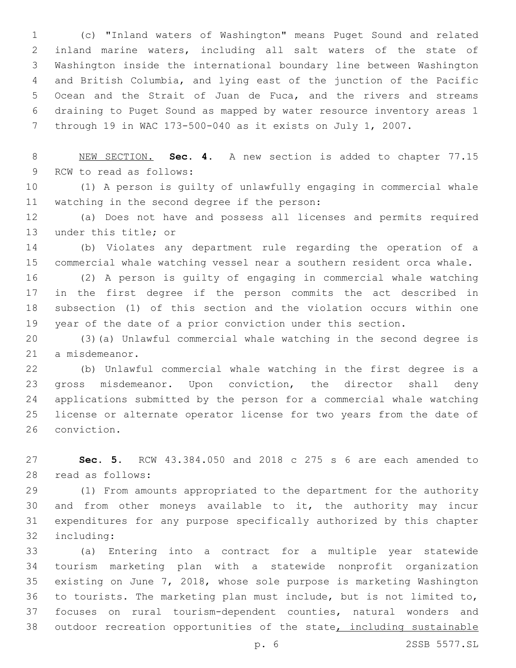(c) "Inland waters of Washington" means Puget Sound and related inland marine waters, including all salt waters of the state of Washington inside the international boundary line between Washington and British Columbia, and lying east of the junction of the Pacific Ocean and the Strait of Juan de Fuca, and the rivers and streams draining to Puget Sound as mapped by water resource inventory areas 1 through 19 in WAC 173-500-040 as it exists on July 1, 2007.

 NEW SECTION. **Sec. 4.** A new section is added to chapter 77.15 9 RCW to read as follows:

 (1) A person is guilty of unlawfully engaging in commercial whale 11 watching in the second degree if the person:

 (a) Does not have and possess all licenses and permits required 13 under this title; or

 (b) Violates any department rule regarding the operation of a commercial whale watching vessel near a southern resident orca whale.

 (2) A person is guilty of engaging in commercial whale watching in the first degree if the person commits the act described in subsection (1) of this section and the violation occurs within one year of the date of a prior conviction under this section.

 (3)(a) Unlawful commercial whale watching in the second degree is 21 a misdemeanor.

 (b) Unlawful commercial whale watching in the first degree is a gross misdemeanor. Upon conviction, the director shall deny applications submitted by the person for a commercial whale watching license or alternate operator license for two years from the date of 26 conviction.

 **Sec. 5.** RCW 43.384.050 and 2018 c 275 s 6 are each amended to 28 read as follows:

 (1) From amounts appropriated to the department for the authority and from other moneys available to it, the authority may incur expenditures for any purpose specifically authorized by this chapter 32 including:

 (a) Entering into a contract for a multiple year statewide tourism marketing plan with a statewide nonprofit organization existing on June 7, 2018, whose sole purpose is marketing Washington to tourists. The marketing plan must include, but is not limited to, focuses on rural tourism-dependent counties, natural wonders and 38 outdoor recreation opportunities of the state, including sustainable